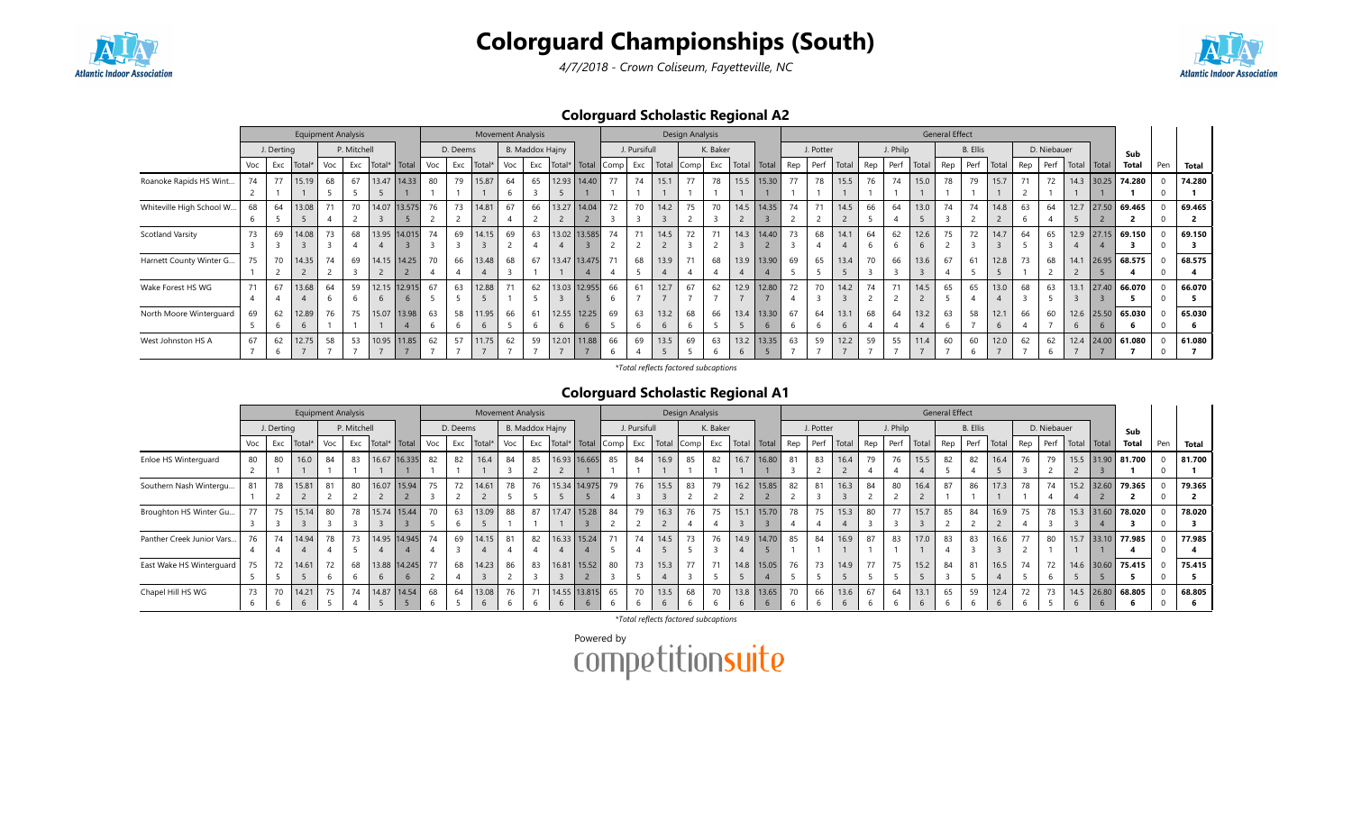



4/7/2018 - Crown Coliseum, Fayetteville, NC

## Colorguard Scholastic Regional A2

|                          |     |            |        |     | <b>Equipment Analysis</b> |                |               |     |          | <b>Movement Analysis</b> |     |                 |              |      |              |             | Design Analysis |          |               |              |     |           |              |     |          |       | <b>General Effect</b> |                 |       |     |             |      |              |                |     |        |
|--------------------------|-----|------------|--------|-----|---------------------------|----------------|---------------|-----|----------|--------------------------|-----|-----------------|--------------|------|--------------|-------------|-----------------|----------|---------------|--------------|-----|-----------|--------------|-----|----------|-------|-----------------------|-----------------|-------|-----|-------------|------|--------------|----------------|-----|--------|
|                          |     | J. Derting |        |     | P. Mitchell               |                |               |     | D. Deems |                          |     | B. Maddox Hajny |              |      | J. Pursifull |             |                 | K. Baker |               |              |     | J. Potter |              |     | J. Philp |       |                       | <b>B.</b> Ellis |       |     | D. Niebauer |      |              | Sub            |     |        |
|                          | Voc | Exc        | Total* | Voc | Exc                       | Total*   Total |               | Voc | Exc      | Total*                   | Voc | Exc             | Total* Total | Comp | Exc          | Total       | Comp            | Exc      | Total   Total |              | Rep | Perf      | Total        | Rep | Perf     | Total | Rep                   | Perf            | Total | Rep | Perf        |      | Total Total  | <b>Total</b>   | Pen | Total  |
| Roanoke Rapids HS Wint   | 74  | 77         | 15.19  | 68  | 67                        |                | 13.47   14.33 | 80  | 79       | 15.87                    | 64  | 65              | 12.93 14.40  | 77   | 74           | 15.1        | 77              | 78       |               | 15.5 15.30   | 77  | 78        | 15.5         | 76  |          | 15.0  | 78                    | 79              | 15.7  | 71  | 72          |      | $14.3$ 30.25 | 74.280         |     | 74.280 |
|                          |     |            |        |     |                           |                |               |     |          |                          |     |                 |              |      |              |             |                 |          |               |              |     |           |              |     |          |       |                       |                 |       |     |             |      |              |                |     |        |
| Whiteville High School W | 68  | 64         | 13.08  | 71  | 70                        |                | 14.07 13.575  | 76  | 73       | 14.81                    | 67  | 66              | 13.27 14.04  | 72   | 70           | 14.2        | 75              | 70       |               | 14.5 14.35   | 74  | 71        | 14.5         | 66  | 64       | 13.0  | 74                    | 74              | 14.8  | 63  | 64          | 12.7 | 27.50        | 69.465         |     | 69.465 |
|                          |     |            |        |     |                           |                |               |     |          |                          |     |                 |              |      |              |             |                 |          |               |              |     |           |              |     |          |       |                       |                 |       |     |             |      |              |                |     |        |
| <b>Scotland Varsity</b>  | 73  | 69         | 14.08  | 73  | 68                        |                | 13.95 14.015  | 74  | 69       | 14.15                    | 69  | 63              | 13.02 13.585 | 74   | 71           | 14.5        | 72              | 71       | 14.3          | 14.40        | 73  | 68        | 14.1         | 64  | 62       | 12.6  | 75                    | 72              | 14.7  | 64  | 65          | 12.9 |              | $27.15$ 69.150 |     | 69.150 |
|                          |     |            |        |     |                           |                |               |     |          |                          |     |                 |              |      |              |             |                 |          |               |              |     |           |              |     |          |       |                       |                 |       |     |             |      |              |                |     |        |
| Harnett County Winter G  | 75  | 70         | 14.35  | 74  | 69                        |                | 14.15   14.25 | 70  | 66       | 13.48                    | 68  | 67              | 13.47 13.475 |      | 68           | 13.9        | 71              | 68       | 13.9          | 13.90        | 69  | 65        | 13.4         | 70  | 66       | 13.6  | 67                    | 61              | 12.8  | 73  | 68          | 14.1 | 26.95        | 68.575         |     | 68.575 |
|                          |     |            |        |     |                           |                |               |     |          |                          |     |                 |              |      |              |             |                 |          |               |              |     |           |              |     |          |       |                       |                 |       |     |             |      |              |                |     |        |
| Wake Forest HS WG        | 71  | 67         | 13.68  | 64  | 59                        |                | 12.15 12.915  | 67  | 63       | 12.88                    |     | 62              | 13.03 12.955 | 66   | 61           | 12.7        | 67              | 62       | 12.9          | 12.80        | 72  | 70        | 14.2         | 74  | 74       | 14.5  | 65                    | 65              | 13.0  | 68  | 63          | 13.1 | 27.40        | 66.070         |     | 66.070 |
|                          |     |            |        |     |                           |                | $\mathbf b$   |     |          |                          |     |                 |              |      |              |             |                 |          |               |              |     |           |              |     |          |       |                       |                 |       |     |             |      |              |                |     |        |
| North Moore Winterguard  | 69  | 62         | 12.89  | 76  | 75                        |                | 15.07   13.98 | 63  | 58       | 11.95                    | 66  | 61              | 12.55 12.25  | 69   | 63           | 13.2        | 68              | 66       |               | 13.4 13.30   | 67  | 64        | 13.1         | 68  | 64       | 13.2  | 63                    | 58              | 12.1  | 66  | 60          |      | $12.6$ 25.50 | 65.030         |     | 65.030 |
|                          |     |            |        |     |                           |                |               |     |          | 6                        |     |                 |              |      | 6            | $\mathbf b$ |                 |          |               |              |     |           | $\mathbf{b}$ |     |          |       |                       |                 |       |     |             | 6    |              |                |     |        |
| West Johnston HS A       | 67  | 62         | 12.75  | 58  | 53                        |                | 10.95   11.85 | 62  | 57       | 11.75                    | 62  | 59              | 12.01 11.88  | 66   | 69           | 13.5        | 69              | 63       |               | 13.2   13.35 | 63  | 59        | 12.2         | 59  | 55       | 11.4  | 60                    | 60              | 12.0  | 62  | 62          | 12.4 | 24.00        | 61.080         |     | 61.080 |
|                          |     |            |        |     |                           |                |               |     |          |                          |     |                 |              |      |              |             |                 |          |               |              |     |           |              |     |          |       |                       | b               |       |     |             |      |              |                |     |        |

\*Total reflects factored subcaptions

#### Colorguard Scholastic Regional A1

|                           |     |            |        | <b>Equipment Analysis</b> |             |                      |               |     |          | <b>Movement Analysis</b> |     |                 |              |              |      |              |                            | Design Analysis |          |             |     |           |                |     |          |       | <b>General Effect</b> |          |       |     |             |                |             |                   |     |        |
|---------------------------|-----|------------|--------|---------------------------|-------------|----------------------|---------------|-----|----------|--------------------------|-----|-----------------|--------------|--------------|------|--------------|----------------------------|-----------------|----------|-------------|-----|-----------|----------------|-----|----------|-------|-----------------------|----------|-------|-----|-------------|----------------|-------------|-------------------|-----|--------|
|                           |     | J. Derting |        |                           | P. Mitchell |                      |               |     | D. Deems |                          |     | B. Maddox Hajny |              |              |      | J. Pursifull |                            |                 | K. Baker |             |     | J. Potter |                |     | J. Philp |       |                       | B. Ellis |       |     | D. Niebauer |                |             | Sub               |     |        |
|                           | Voc | Exc        | Total* | Voc                       |             | Exc   Total*   Total |               | Voc | Exc      | Total*                   | Voc | Exc             | Total* Total |              | Comp | Exc          | Total Comp Exc Total Total |                 |          |             | Rep | Perf      | Total          | Rep | Perf     | Total | Rep                   | Perf     | Total | Rep | Perf        |                | Total Total | <b>Total</b>      | Pen | Total  |
| Enloe HS Winterguard      | 80  | 80         | 16.0   | 84                        | 83          |                      | 16.67 16.335  | 82  | 82       | 16.4                     | 84  | 85              |              | 16.93 16.665 | 85   | 84           | 16.9                       | 85              | 82       | 16.7 16.80  | 81  | 83        | 16.4           | 79  | 76       | 15.5  | 82                    | 82       | 16.4  | 76  | 79          |                |             | 15.5 31.90 81.700 |     | 81.700 |
|                           |     |            |        |                           |             |                      |               |     |          |                          |     |                 |              |              |      |              |                            |                 |          |             |     |           |                |     |          |       |                       |          |       |     |             |                |             |                   |     |        |
| Southern Nash Wintergu    | 81  | 78         | 15.81  | 81                        | 80          |                      | 16.07   15.94 | 75  | 72       | 14.61                    | 78  | 76              | 15.34 14.975 |              | 79   | 76           | 15.5                       | 83              | 79       | 16.2 15.85  | 82  | 81        | 16.3           | 84  | 80       | 16.4  | 87                    | 86       | 17.3  | 78  | 74          |                |             | 15.2 32.60 79.365 |     | 79.365 |
|                           |     |            |        |                           |             |                      |               |     |          |                          |     |                 |              |              |      |              |                            |                 |          |             |     |           |                |     |          |       |                       |          |       |     |             |                |             |                   |     |        |
| Broughton HS Winter Gu    | 77  | 75         | 15.14  | 80                        | 78          |                      | 15.74 15.44   | 70  | 63       | 13.09                    | 88  | 87              | 17.47        | 15.28        | 84   | 79           | 16.3                       | 76              | 75       | 15.1 15.70  | 78  | 75        | 15.3           | 80  | 77       | 15.7  | 85                    | 84       | 16.9  | 75  | 78          |                | 15.3 31.60  | 78.020            |     | 78.020 |
|                           |     |            |        |                           |             |                      |               |     |          |                          |     |                 |              |              |      |              |                            |                 |          |             |     |           |                |     |          |       |                       |          |       |     |             |                |             |                   |     |        |
| Panther Creek Junior Vars | 76  | 74         | 14.94  | 78                        | 73          |                      | 14.95 14.945  | 74  | 69       | 14.15                    | 81  | 82              | 16.33        | 15.24        | 71   | 74           | 14.5                       | 73              | 76       | 14.9 14.70  | 85  | 84        | 16.9           | 87  | 83       | 17.0  | 83                    | 83       | 16.6  | 77  | 80          |                |             | 15.7 33.10 77.985 |     | 77.985 |
|                           |     |            |        |                           |             |                      |               |     |          |                          |     |                 |              |              |      |              |                            |                 |          |             |     |           |                |     |          |       |                       |          |       |     |             |                |             |                   |     |        |
| East Wake HS Winterguard  | 75  | 72         | 14.61  | 72                        | 68          |                      | 13.88 14.245  | 77  | 68       | 14.23                    | 86  | 83              | 16.81        | 15.52        | 80   | 73           | 15.3                       | 77              | 71       | 14.8 15.05  | 76  | 73        | 14.9           | 77  | 75       | 15.2  | 84                    | 81       | 16.5  | 74  | 72          |                |             | 14.6 30.60 75.415 |     | 75.415 |
|                           |     |            |        |                           |             |                      |               |     |          |                          |     |                 |              |              |      |              |                            |                 |          |             |     |           |                |     |          |       |                       |          |       |     |             |                |             |                   |     |        |
| Chapel Hill HS WG         | 73  | 70         | 14.21  | 75                        | 74          |                      | 14.87   14.54 | 68  | 64       | 13.08                    | 76  | 71              | 14.55 13.815 |              | 65   | 70           | 13.5                       | 68              | 70       | 13.8 13.65  | 70  | 66        | 13.6           | 67  | 64       | 13.1  | 65                    | 59       | 12.4  | 72  | 73          |                |             | 14.5 26.80 68.805 |     | 68.805 |
|                           |     |            | h      |                           |             |                      |               |     |          | $\mathbf{b}$             |     |                 |              | $\mathbf b$  |      |              |                            |                 |          | $\mathbf b$ |     |           | $\mathfrak{b}$ |     |          |       |                       |          |       |     |             | $\mathfrak{b}$ |             |                   |     |        |

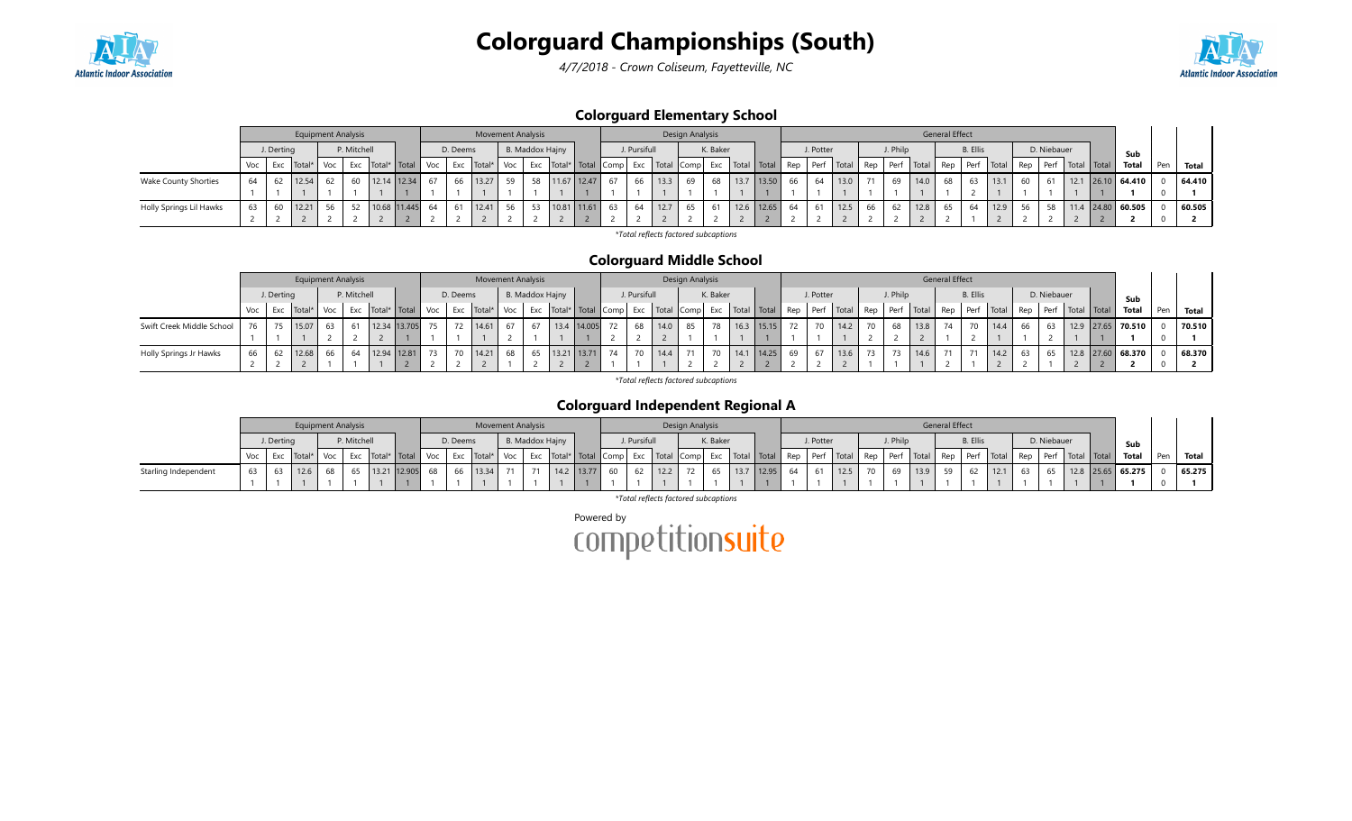

4/7/2018 - Crown Coliseum, Fayetteville, NC



### Colorguard Elementary School

|                             |                                                                                                                                                                                                                                            |    | <b>Equipment Analysis</b> |    |    |              |  |    |    | <b>Movement Analysis</b> |                 |    |             |    |              |      | Design Analysis |          |      |            |    |           |                |    |          |      | <b>General Effect</b> |                 |      |             |              |     |                     |  |        |
|-----------------------------|--------------------------------------------------------------------------------------------------------------------------------------------------------------------------------------------------------------------------------------------|----|---------------------------|----|----|--------------|--|----|----|--------------------------|-----------------|----|-------------|----|--------------|------|-----------------|----------|------|------------|----|-----------|----------------|----|----------|------|-----------------------|-----------------|------|-------------|--------------|-----|---------------------|--|--------|
|                             |                                                                                                                                                                                                                                            |    |                           |    |    |              |  |    |    |                          |                 |    |             |    | J. Pursifull |      |                 | K. Baker |      |            |    | J. Potter |                |    | J. Philp |      |                       | <b>B.</b> Ellis |      |             | D. Niebauer  |     | Sub                 |  |        |
|                             | P. Mitchell<br>B. Maddox Hajny<br>J. Derting<br>D. Deems<br>Exc   Total*   Total   Comp   Exc   Total   Comp   Exc   Total   Total   Rep   Perf   Total  <br>Exc   Total*   Total   Voc<br>Exc Total*<br>Exc   Total*<br>Voc<br>Voc<br>Voc |    |                           |    |    |              |  |    |    |                          |                 |    |             |    |              |      |                 |          |      |            |    |           | Rep Perf Total |    |          |      | Rep Perf   Total Rep  |                 | Perf | Total Total | <b>Total</b> | Pen | Total               |  |        |
| <b>Wake County Shorties</b> | 64                                                                                                                                                                                                                                         | 62 | 12.54                     |    | 60 | 12.14 12.34  |  | 67 | 66 | 13.27                    | 59 <sub>1</sub> | 58 | 11.67 12.47 | 67 | 66           | 13.3 | 69              | 68       | 13.7 | 13.50      | 66 | 64        | 13.0           |    | 69       | 14.0 | 68                    | 63              | 13.1 | 60          |              |     | $12.1$ 26.10 64.410 |  | 64.410 |
|                             |                                                                                                                                                                                                                                            |    |                           |    |    |              |  |    |    |                          |                 |    |             |    |              |      |                 |          |      |            |    |           |                |    |          |      |                       |                 |      |             |              |     |                     |  |        |
| Holly Springs Lil Hawks     | 63                                                                                                                                                                                                                                         |    | 12.21                     | 56 | 52 | 10.68 11.445 |  | 64 | 61 | 12.41                    | 56              |    | 10.81 11.61 | 63 | -64          | 12.7 | 65              |          |      | 12.6 12.65 | 64 |           | 12.5           | 66 |          | 12.8 | 65                    |                 | 12.9 | 56          | 5Q           |     | $11.4$ 24.80 60.505 |  | 60.505 |
|                             |                                                                                                                                                                                                                                            |    |                           |    |    |              |  |    |    |                          |                 |    |             |    |              |      |                 |          |      |            |    |           |                |    |          |      |                       |                 |      |             |              |     |                     |  |        |

\*Total reflects factored subcaptions

### Colorguard Middle School

|                           |     |            | <b>Equipment Analysis</b> |     |             |                            |          | <b>Movement Analysis</b> |     |    |                 |    |              |      | Design Analysis |          |            |    |           |                                                                                             |          |          |      | <b>General Effect</b> |                 |      |    |             |                                 |                       |     |        |
|---------------------------|-----|------------|---------------------------|-----|-------------|----------------------------|----------|--------------------------|-----|----|-----------------|----|--------------|------|-----------------|----------|------------|----|-----------|---------------------------------------------------------------------------------------------|----------|----------|------|-----------------------|-----------------|------|----|-------------|---------------------------------|-----------------------|-----|--------|
|                           |     | J. Derting |                           |     | P. Mitchell |                            | D. Deems |                          |     |    | B. Maddox Hajny |    | J. Pursifull |      |                 | K. Baker |            |    | J. Potter |                                                                                             |          | J. Philp |      |                       | <b>B.</b> Ellis |      |    | D. Niebauer |                                 | Sub                   |     |        |
|                           | Voc | Exc        | Total*                    | Voc |             | Exc   Total*   Total   Voc |          | Exc Total*               | Voc |    |                 |    |              |      |                 |          |            |    |           | Exc   Total*   Total   Comp   Exc   Total   Comp   Exc   Total   Total   Rep   Perf   Total | Rep Perf |          |      | / Total Rep           |                 |      |    |             | Perf Total Rep Perf Total Total | Total                 | Pen | Total  |
| Swift Creek Middle School | 76  |            | 15.07                     | 63  |             | 12.34 13.705               | 72       | 14.61                    | 67  | 67 | 13.4 14.005     | 72 | 68           | 14.0 | 85              | 78       | 16.3 15.15 |    |           | 14.2                                                                                        | 70 I     | 68       | 13.8 | 74                    |                 | 14.4 | 66 |             |                                 | 12.9   27.65   70.510 |     | 70.510 |
|                           |     |            |                           |     |             |                            |          |                          |     |    |                 |    |              |      |                 |          |            |    |           |                                                                                             |          |          |      |                       |                 |      |    |             |                                 |                       |     |        |
| Holly Springs Jr Hawks    |     |            | 12.68                     |     |             | 12.94 12.81                |          | 14.21                    | 68  | 65 | 13.21 13.71     | 74 | 70           | 14.4 |                 | 70       | 14.25      | 69 |           | 13.6                                                                                        |          |          | 14.6 | 71                    | 71              |      |    |             |                                 | 12.8 27.60 68.370     |     | 68.370 |
|                           |     |            |                           |     |             |                            |          |                          |     |    |                 |    |              |      |                 |          |            |    |           |                                                                                             |          |          |      |                       |                 |      |    |             |                                 |                       |     |        |

\*Total reflects factored subcaptions

### Colorguard Independent Regional A

|                      |                                                                                           |  |  |  | <b>Equipment Analysis</b> |  |              |    |  | <b>Movement Analysis</b>        |                 |               |  |              |      | Design Analysis |          |                                                                                             |    |           |             |    |          |      | <b>General Effect</b> |                 |      |             |                                                                      |                       |     |        |
|----------------------|-------------------------------------------------------------------------------------------|--|--|--|---------------------------|--|--------------|----|--|---------------------------------|-----------------|---------------|--|--------------|------|-----------------|----------|---------------------------------------------------------------------------------------------|----|-----------|-------------|----|----------|------|-----------------------|-----------------|------|-------------|----------------------------------------------------------------------|-----------------------|-----|--------|
|                      | P. Mitchell<br>J. Derting<br>D. Deems<br>Exc   Total*   Total   Voc<br>Voc Exc Total* Voc |  |  |  |                           |  |              |    |  |                                 | B. Maddox Hajny |               |  | J. Pursifull |      |                 | K. Baker |                                                                                             |    | J. Potter |             |    | J. Philp |      |                       | <b>B.</b> Ellis |      | D. Niebauer |                                                                      | Sub                   |     |        |
|                      |                                                                                           |  |  |  |                           |  |              |    |  | Exc   Total*   Voc <sup> </sup> |                 |               |  |              |      |                 |          | Exc   Total*   Total   Comp   Exc   Total   Comp   Exc   Total   Total   Rep   Perf   Total |    |           |             |    |          |      |                       |                 |      |             | Rep   Perf   Total   Rep   Perf   Total   Rep   Perf   Total   Total | Total                 | Pen | Total  |
| Starling Independent | 63                                                                                        |  |  |  | 65                        |  | 13.21 12.905 | 68 |  | 66   13.34                      |                 | 71 14.2 13.77 |  | 60 62        | 12.2 | 72              |          | 65 13.7 12.95                                                                               | 64 |           | $61$   12.5 | 70 | 69       | 13.9 | 59                    |                 | 12.1 | 65 I        |                                                                      | 12.8   25.65   65.275 |     | 65.275 |
|                      |                                                                                           |  |  |  |                           |  |              |    |  |                                 |                 |               |  |              |      |                 |          |                                                                                             |    |           |             |    |          |      |                       |                 |      |             |                                                                      |                       |     |        |

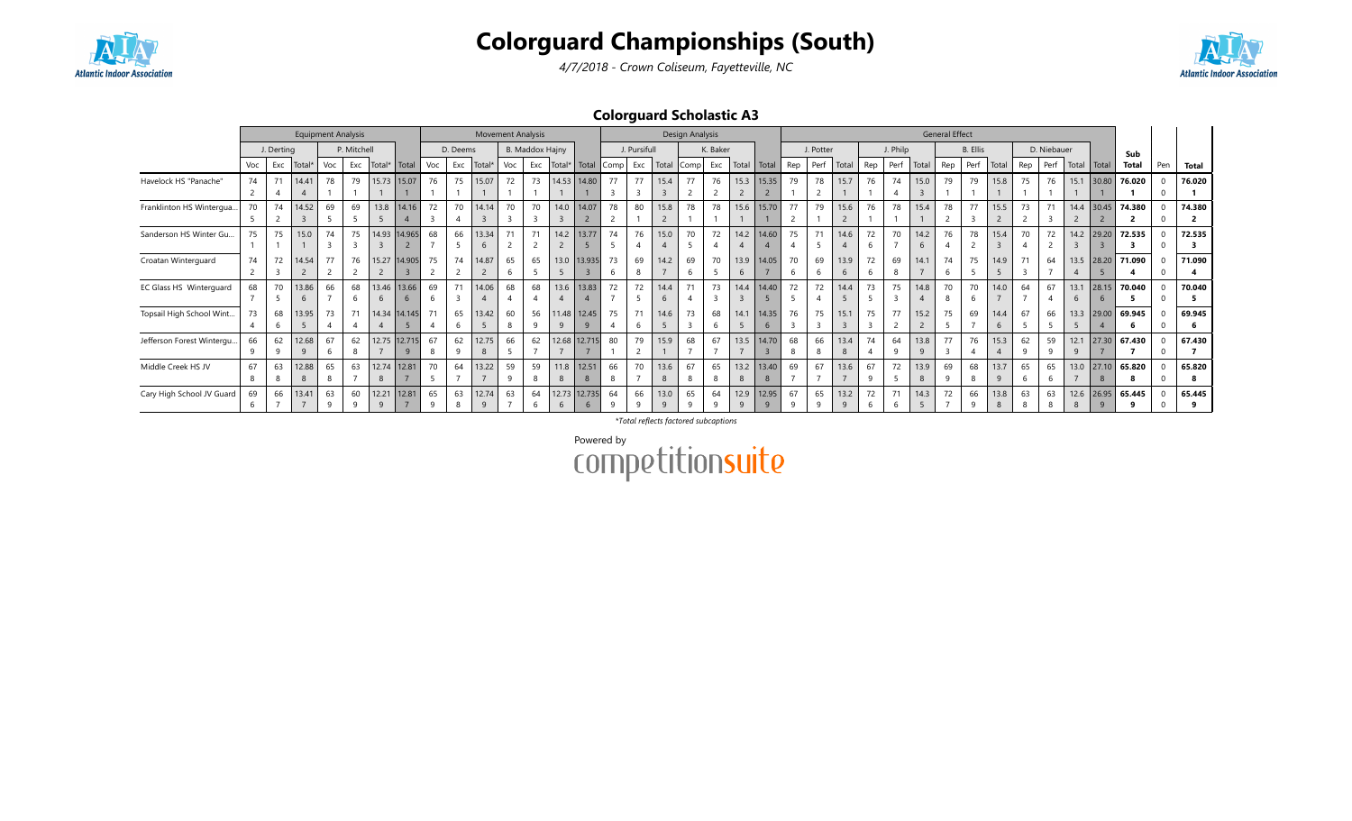



4/7/2018 - Crown Coliseum, Fayetteville, NC

### Colorguard Scholastic A3

|                           |     |            | <b>Equipment Analysis</b> |     |                |                       |                    |     |          | <b>Movement Analysis</b> |         |                 |                           |                       |                |                |                      | Design Analysis |          |                      |                   |     |                |                      |         |          |       | <b>General Effect</b> |                 |           |     |             |                        |                       |              |              |              |
|---------------------------|-----|------------|---------------------------|-----|----------------|-----------------------|--------------------|-----|----------|--------------------------|---------|-----------------|---------------------------|-----------------------|----------------|----------------|----------------------|-----------------|----------|----------------------|-------------------|-----|----------------|----------------------|---------|----------|-------|-----------------------|-----------------|-----------|-----|-------------|------------------------|-----------------------|--------------|--------------|--------------|
|                           |     | J. Derting |                           |     | P. Mitchell    |                       |                    |     | D. Deems |                          |         | B. Maddox Hajny |                           |                       |                | J. Pursifull   |                      |                 | K. Baker |                      |                   |     | J. Potter      |                      |         | J. Philp |       |                       | <b>B.</b> Ellis |           |     | D. Niebauer |                        |                       | Sub          |              |              |
|                           | Voc | Exc        | Total <sup>*</sup>        | Voc | Exc            | Total*                | Total              | Voc | Exc      | Total*                   | Voc     | Exc             | Total*                    | Total                 | Comp           | Exc            | Total                | Comp            | Exc      | Total                | Total             | Rep | Perf           | Total                | Rep     | Perf     | Total | Rep                   | Perf            | Total     | Rep | Perf        | Total                  | Total                 | Total        | Pen          | <b>Total</b> |
| Havelock HS "Panache"     | 74  | 71         | 14.41                     | 78  | 79             | 15.73                 | 15.07              | 76  | 75       | 15.07                    | 72      | 73              | 14.53                     | 14.80                 | 77             | 77             | 15.4                 |                 | 76       | 15.3                 | 15.35             | 79  | 78             | 15.7                 | 76      | 74       | 15.0  |                       | 79              | 15.8      | 75  | 76          |                        | $15.1$ 30.80          | 76.020       |              | 76.020       |
|                           |     |            |                           |     |                |                       |                    |     |          |                          |         |                 |                           |                       |                |                |                      |                 |          |                      |                   |     |                |                      |         |          |       |                       |                 |           |     |             |                        |                       |              |              |              |
| Franklinton HS Wintergua  | 70  | 74         | 14.52                     | 69  | 69             |                       | 13.8   14.16       | 72  | 70       | 14.14                    |         | 70              | 14.0                      | 14.07                 | 78             | 80             | 15.8                 | 78              | 78       |                      | 15.6 15.70        | 77  | 79             | 15.6                 | 76      | 78       | 15.4  | 78                    | 77              | 15.5      | 73  |             |                        | 14.4 30.45            | 74.380       | $\Omega$     | 74.380       |
|                           |     |            |                           |     |                |                       |                    |     |          |                          |         |                 |                           |                       |                |                | $\overline{c}$       |                 |          |                      |                   |     |                |                      |         |          |       |                       |                 |           |     |             |                        |                       |              | <sup>0</sup> |              |
| Sanderson HS Winter Gu    | 75  | 75         | 15.0                      | 74  | 75             | 14.93                 | 14.965             | 68  | 66       | 13.34<br>6               |         |                 | 14.2                      | 13.77                 | 74             | 76             | 15.0                 | 70              | 72       |                      | 14.2 14.60        | 75  | 71             | 14.6                 | 72      | 70       | 14.2  | 76                    | 78              | 15.4      | 70  | 72          | 14.2                   | 29.20                 | 72.535       | $\Omega$     | 72.535       |
| Croatan Winterguard       | 74  | 72         | 14.54                     | 77  | 76             | 15.27                 | 14.905             | 75  | 74       | 14.87                    | 65      | 65              | 13.0                      | 13.935                | 73<br>b        | 69<br>8        | 14.2                 | 69              | 70       | 13.9<br>6            | 14.05             | 70  | 69<br>6        | 13.9<br>6            | 72      | 69       | 14.1  | 74                    | 75              | 14.9      |     | 64          | 13.5<br>$\overline{4}$ | 28.20                 | 71.090       | <sup>0</sup> | 71.090       |
| EC Glass HS Winterguard   | 68  | 70         | 13.86<br>$\mathfrak{b}$   | 66  | 68             | $\mathbf{6}$          | 13.46 13.66<br>6   | 69  | 71       | 14.06                    | 68      | 68              | 13.6                      | 13.83                 | 72             | 72             | 14.4<br>6            |                 | 73       |                      | 14.4 14.40        | 72  | 72             | 14.4                 | 73      | 75       | 14.8  | 70                    | 70<br>6         | 14.0      | 64  | 67          | 13.1<br>6              | 28.15<br>6            | 70.040       |              | 70.040       |
| Topsail High School Wint  | 73  | 68<br>b    | 13.95                     | 73  | 71             | 14.34<br>4            | 14.145             |     | 65       | 13.42                    | 60<br>8 | 56              | 11.48<br>9                | 12.45<br>$\mathbf{q}$ | 75             | 71<br>6        | 14.6<br>5            | 73<br>3         | 68       | 14.1<br>5            | 14.35<br>6        | 76  | 75<br>3        | 15.1<br>3            | 75<br>3 | 77       | 15.2  | 75                    | 69              | 14.4<br>6 | 67  | 66          | 13.3<br>5              | 29.00                 | 69.945       | $\Omega$     | 69.945       |
| Jefferson Forest Wintergu | 66  | 62         | 12.68                     | 67  | 62             |                       | 12.75 12.715<br>-9 | 67  | 62       | 12.75<br>8               | 66      | 62              | 12.68                     | 12.715                | 80             | 79             | 15.9                 | 68              | 67       |                      | 13.5 14.70        | 68  | 66<br>8        | 13.4<br>8            | 74      | 64<br>q  | 13.8  | 77                    | 76              | 15.3      | 62  | 59          | 12.1<br>q              | 27.30                 | 67.430       |              | 67.430       |
| Middle Creek HS JV        | 67  | 63         | 12.88                     | 65  | 63             | 12.74                 | 12.81              | 70  | 64       | 13.22                    | 59      | 59              | 11.8                      | 12.51                 | 66             | 70             | 13.6<br>8            |                 | 65       |                      | 13.2 13.40        | 69  | 67             | 13.6                 | 67      | 72       | 13.9  | 69                    | 68              | 13.7      | 65  | 65          | 13.0                   | 27.10                 | 65.820       |              | 65.820       |
| Cary High School JV Guard | 69  | 66         | 13.41                     | 63  | 60<br>$\Omega$ | 12.21<br>$\mathsf{q}$ | 12.81              | 65  | 63       | 12.74<br>$\alpha$        | 63      | 64              | 12.73<br>$6 \overline{6}$ | 12.735<br>6           | 64<br>$\Omega$ | 66<br>$\Omega$ | 13.0<br>$\mathsf{q}$ | 65              | 64       | 12.9<br>$\mathsf{Q}$ | 12.95<br>$\alpha$ | 67  | 65<br>$\alpha$ | 13.2<br>$\mathsf{q}$ | 72      | 71       | 14.3  | 72                    | 66              | 13.8<br>8 | 63  | 63          | 12.6<br>8              | 26.95<br>$\mathbf{q}$ | 65.445<br>۰q | U            | 65.445       |

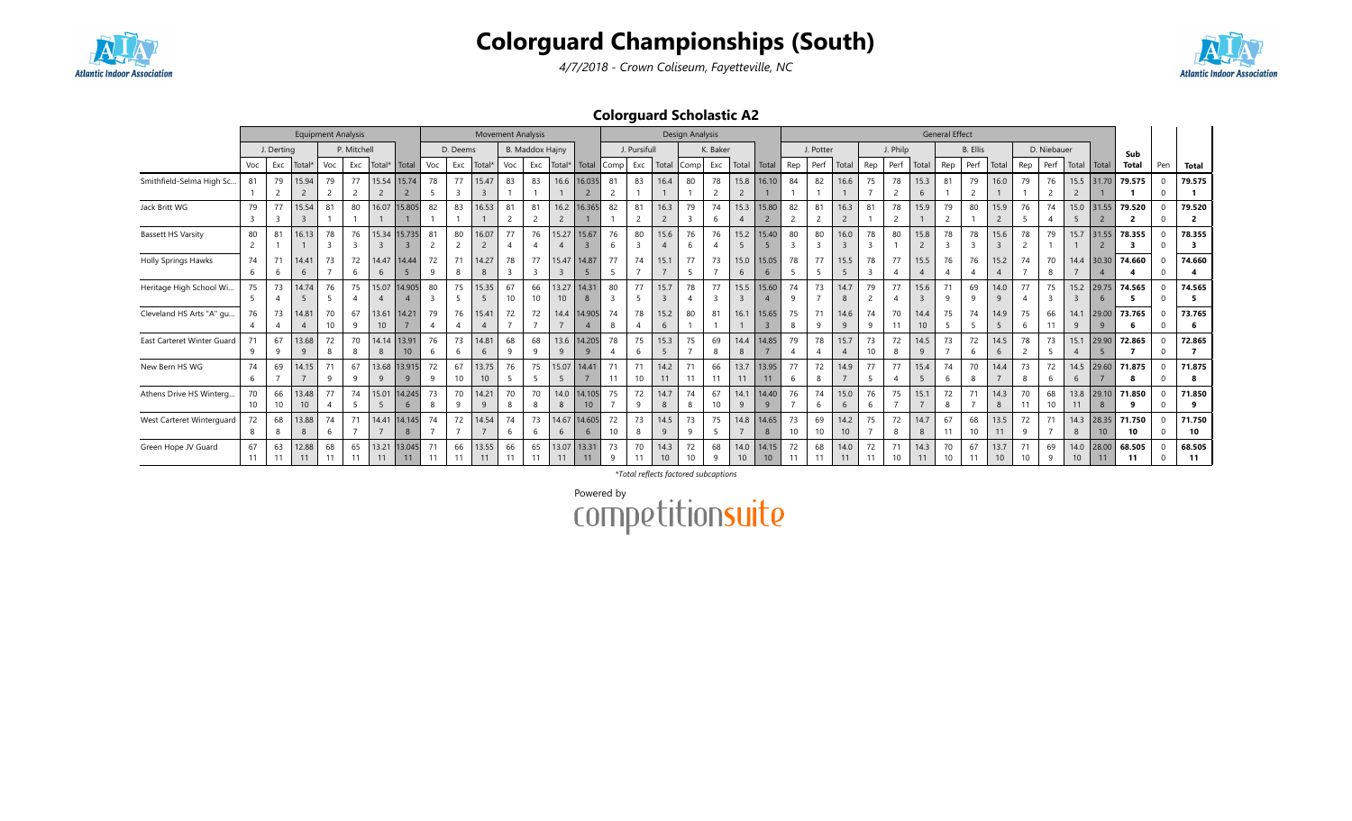





4/7/2018 - Crown Coliseum, Fayetteville, NC

### Colorguard Scholastic A2

|                            |                      |            |                    |                      | <b>Equipment Analysis</b> |                         |                          |                               |                      | <b>Movement Analysis</b> |          |                        |                           |                          |                               |                      |                        | Design Analysis      |          |                         |                         |                               |                      |                        |                               |                       |                                 | <b>General Effect</b> |                      |                                 |          |             |                         |                         |                          |                              |                                   |
|----------------------------|----------------------|------------|--------------------|----------------------|---------------------------|-------------------------|--------------------------|-------------------------------|----------------------|--------------------------|----------|------------------------|---------------------------|--------------------------|-------------------------------|----------------------|------------------------|----------------------|----------|-------------------------|-------------------------|-------------------------------|----------------------|------------------------|-------------------------------|-----------------------|---------------------------------|-----------------------|----------------------|---------------------------------|----------|-------------|-------------------------|-------------------------|--------------------------|------------------------------|-----------------------------------|
|                            |                      | J. Derting |                    |                      | P. Mitchell               |                         |                          |                               | D. Deems             |                          |          | <b>B. Maddox Hajny</b> |                           |                          |                               | J. Pursifull         |                        |                      | K. Baker |                         |                         |                               | J. Potter            |                        |                               | J. Philp              |                                 |                       | B. Ellis             |                                 |          | D. Niebauer |                         |                         | Sub                      |                              |                                   |
|                            | Voc                  | Exc        | Total <sup>®</sup> | Voc                  | Exc                       | Total*                  | Total                    | Voc                           | Exc                  | Total <sup>*</sup>       | Voc      | Exc                    | Total*                    | Total                    | Comp                          | Exc                  | Total                  | Comp                 | Exc      | Total                   | Total                   | Rep                           | Perf                 | Total                  | Rep                           | Perf                  | Total                           | Rep                   | Perf                 | Total                           | Rep      | Perf        | Total                   | Total                   | Total                    | Pen                          | <b>Total</b>                      |
| Smithfield-Selma High Sc   | 81                   | 79         | 15.94<br>2         | 79                   | 77<br>$\overline{2}$      | 15.54<br>$\overline{2}$ | 15.74<br>$\overline{2}$  | 78                            | 77<br>$\overline{3}$ | 15.47<br>$\overline{3}$  | 83       | 83                     | 16.6                      | 16.035<br>$\overline{2}$ | 81<br>2                       | 83                   | 16.4                   | 80                   | 78       | 15.8<br>$\overline{2}$  | 16.10                   | 84                            | 82                   | 16.6                   | 75                            | 78                    | 15.3<br>6                       | 81                    | 79<br>$\overline{2}$ | 16.0                            | 79       | 76          | 15.5<br>$\overline{2}$  | 31.70                   | 79.575                   | $\Omega$<br>$\Omega$         | 79.575                            |
| Jack Britt WG              | 79                   | 77         | 15.54              | 81                   | 80                        | 16.07                   | 15,805                   | 82                            | 83                   | 16.53                    | 81       | 81                     | 16.2<br>$\overline{2}$    | 16.365                   | 82                            | 81                   | 16.3<br>$\overline{2}$ | 79<br>$\overline{3}$ | 74       | 15.3                    | 15.80<br>$\overline{2}$ | 82<br>$\overline{2}$          | 81<br>2              | 16.3<br>$\overline{2}$ | 81                            | 78<br>$\overline{2}$  | 15.9                            | 79                    | 80                   | 15.9<br>$\overline{2}$          | 76       | 74          | 15.0<br>5 <sub>5</sub>  | 31.55<br>$\overline{2}$ | 79.520<br>$\overline{2}$ | $\Omega$<br>$\Omega$         | 79.520<br>$\overline{2}$          |
| <b>Bassett HS Varsity</b>  | 80<br>$\overline{2}$ | 81         | 16.13              | 78<br>$\overline{z}$ | 76<br>3                   | 15.34<br>$\overline{3}$ | 15.735<br>$\overline{3}$ | 81<br>2                       | 80<br>2              | 16.07<br>$\overline{2}$  | 77<br>-4 | 76                     | 15.27                     | 15.67<br>$\overline{3}$  | 76<br>-6                      | 80<br>$\overline{3}$ | 15.6<br>$\overline{A}$ | 76<br>6              | 76       | 15.2<br>5               | 15.40<br>-5             | 80<br>$\overline{\mathbf{3}}$ | 80<br>$\overline{3}$ | 16.0<br>3              | 78<br>3                       | 80                    | 15.8<br>$\overline{2}$          | 78<br>$\overline{3}$  | 78<br>3              | 15.6<br>$\overline{\mathbf{3}}$ | 78<br>2  | 79          | 15.7                    | 31.55<br>$\overline{2}$ | 78.355<br>3              | $\Omega$                     | 78.355<br>$\overline{\mathbf{3}}$ |
| <b>Holly Springs Hawks</b> | 74<br>6              | 71<br>6    | 14.41<br>6         | 73                   | 72<br>6                   | 14.47<br>6              | 14.44<br>5               | 72<br>9                       | 71<br>8              | 14.27<br>8               | 78<br>3  | 77<br>3                | 15.47                     | 14.87<br>5               | 77<br>5                       | 74                   | 15.1                   | 77<br>5              | 73       | 15.0<br>6               | 15.05<br>6              | 78<br>-5                      | 77<br>5              | 15.5<br>5              | 78<br>$\overline{\mathbf{3}}$ | 77                    | 15.5<br>$\overline{A}$          | 76                    | 76<br>$\overline{4}$ | 15.2<br>$\overline{4}$          | 74       | 70          | 14.4                    | 30.30                   | 74.660                   | $\Omega$                     | 74.660                            |
| Heritage High School Wi    | 75<br>5              | 73<br>-4   | 14.74<br>- 5       | 76<br>5              | 75<br>4                   | 15.07<br>$\overline{4}$ | 14.905<br>$\overline{4}$ | 80<br>$\overline{\mathbf{3}}$ | 75<br>5              | 15.35<br>5               | 67<br>10 | 66<br>10               | 13.27<br>10 <sup>10</sup> | 14.31<br>8               | 80<br>$\overline{\mathbf{3}}$ | 77<br>5              | 15.7<br>3              | 78<br>$\overline{4}$ | 77       | 15.5<br>$\overline{3}$  | 15.60<br>$\overline{4}$ | 74<br>9                       | 73<br>$\overline{ }$ | 14.7<br>8              | 79<br>2                       | 77                    | 15.6<br>$\overline{\mathbf{3}}$ | 71<br>9               | 69<br>9              | 14.0<br>9                       | 77       | 75<br>3     | 15.2<br>$\overline{3}$  | 29.75<br>6              | 74.565<br>5              | $\mathbf{0}$                 | 74.565<br>- 5                     |
| Cleveland HS Arts "A" gu   | 76                   | 73         | 14.81              | 70<br>10             | 67<br>9                   | 13.61<br>10             | 14.21                    | 79<br>$\overline{4}$          | 76                   | 15.41<br>$\overline{4}$  | 72       | 72                     | 14.4                      | 14.905                   | 74<br>8                       | 78<br>$\overline{4}$ | 15.2<br>6              | 80                   | 81       | 16.1                    | 15.65<br>$\overline{3}$ | 75<br>8                       | 71<br>9              | 14.6<br>9              | 74<br>9                       | 70<br>11              | 14.4<br>10 <sup>°</sup>         |                       | 74<br>-5             | 14.9<br>5                       | 75<br>6  | 66<br>11    | 14.1<br>9               | 29.00<br>9              | 73.765<br>6              | $\mathbf{0}$<br>$\mathbf{0}$ | 73.765                            |
| East Carteret Winter Guard | 71                   | 67         | 13.68              | 72                   | 70<br>8                   | 14.14                   | 13.91<br>10 <sup>°</sup> | 76                            | 73<br>-6             | 14.81<br>6               | 68       | 68                     | 13.6                      | 14.205                   | 78                            | 75                   | 15.3<br>-5             | 75                   | 69       | 14.4                    | 14.85                   | 79                            | 78                   | 15.7<br>$\overline{A}$ | 73<br>10                      | 72                    | 14.5                            | 73                    | 72<br>6              | 14.5<br>6                       | 78       | 73          | 15.1<br>$\overline{A}$  | 29.90                   | 72.865                   | $\Omega$<br>$\Omega$         | 72.865                            |
| New Bern HS WG             | 74<br>6              | 69         | 14.15              | 71<br>9              | 67<br>9                   | 9                       | 13.68 13.915             | 72<br><b>q</b>                | 67<br>10             | 13.75<br>10              | 76<br>-5 | 75                     | 15.07                     | 14.41                    | 11                            | 71<br>10             | 14.2<br>11             | 71<br>11             | 66       | 13.7<br>11              | 13.95<br>11             | 77<br>-6                      | 72<br>8              | 14.9                   | 77<br>5                       | 77                    | 15.4<br>-5                      | 74<br>-6              | 70<br>8              | 14.4                            | 73<br>8  | 72          | 14.5<br>6               | 29.60                   | 71.875<br>8              | $\Omega$<br>$\Omega$         | 71.875                            |
| Athens Drive HS Winterg    | 70<br>10             | 66<br>10   | 13.48<br>10        | 77                   | 74<br>5                   | 15.01<br>5              | 14.245<br>6              | 73<br>8                       | 70<br>$\mathsf{q}$   | 14.21<br>9               | 70<br>8  | 70<br>8                | 14.0<br>8                 | 14.105<br>10             | 75                            | 72<br>9              | 14.7<br>8              | 74<br>8              | 67<br>10 | 14.1<br>9               | 14.40<br>9              | 76                            | 74<br>6              | 15.0<br>6              | 76<br>6                       | 75                    | 15.1                            | 72<br>8               | 71                   | 14.3<br>8                       | 70<br>11 | 68<br>10    | 13.8<br>11              | 29.10<br>8              | 71.850<br>9              | $\Omega$                     | 71.850                            |
| West Carteret Winterguard  | 72                   | 68<br>8    | 13.88<br>8         | 74<br>6              | 71                        | 14.41                   | 14.145<br>8              | 74                            | 72                   | 14.54                    | 74<br>-6 | 73<br>6                | 14.67<br>6                | 14.605<br>6              | 72<br>10                      | 73<br>8              | 14.5<br>9              | 73<br>9              | 75       | 14.8                    | 14.65<br>8              | 73<br>10                      | 69<br>10             | 14.2<br>10             | 75                            | 72                    | 14.7<br>8                       | 67<br>11              | 68<br>10             | 13.5<br>11                      | 72<br>9  | 71          | 14.3<br>8               | 28.35<br>10             | 71.750<br>10             | $\Omega$                     | 71.750<br>10                      |
| Green Hope JV Guard        | 67<br>11             | 63<br>11   | 12.88<br>11        | 68                   | 65<br>11                  | 13.21<br>11             | 13.045<br>11             | 71<br>11                      | 66<br>11             | 13.55<br>11              | 66<br>11 | 65<br>11               | 13.07<br>11               | 13.31<br>11              | 73<br>q                       | 70                   | 14.3<br>10             | 72                   | 68       | 14.0<br>10 <sup>°</sup> | 14.15<br>10             | 72<br>11                      | 68<br>11             | 14.0<br>11             | 72<br>11                      | 71<br>10 <sup>°</sup> | 14.3<br>11                      | 70<br>10              | 67<br>11             | 13.7<br>10                      | 71<br>10 | 69          | 14.0<br>10 <sup>°</sup> | 28.00<br>11             | 68.505<br>-11            | <sup>0</sup>                 | 68.505<br>11                      |

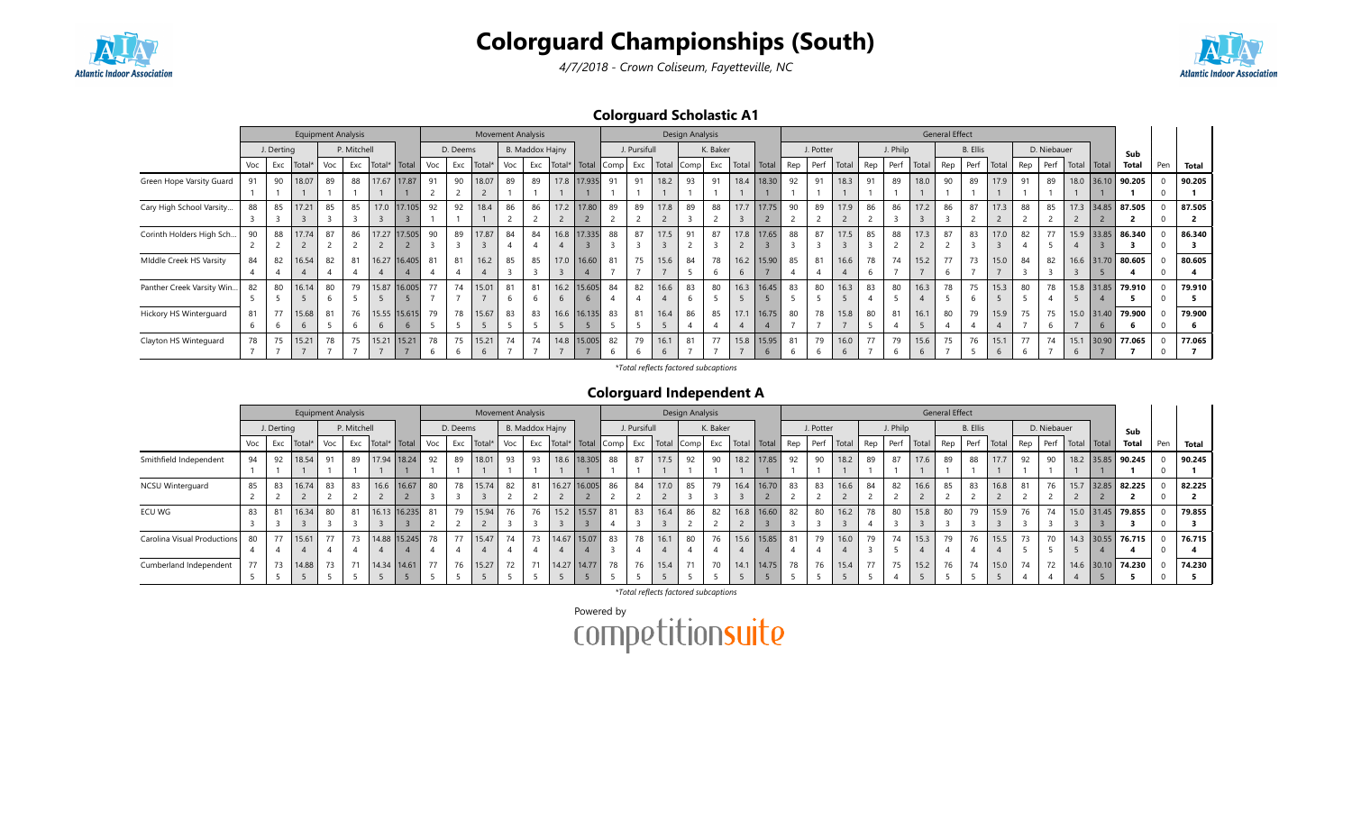



4/7/2018 - Crown Coliseum, Fayetteville, NC

### Colorguard Scholastic A1

|                           |     |            | <b>Equipment Analysis</b> |     |             |              |                 |     |          |             |     | <b>Movement Analysis</b> |      |              |      |              |       | Design Analysis          |          |       |            |     |           |       |     |          |       | <b>General Effect</b> |                 |                    |     |             |      |             |                   |     |        |
|---------------------------|-----|------------|---------------------------|-----|-------------|--------------|-----------------|-----|----------|-------------|-----|--------------------------|------|--------------|------|--------------|-------|--------------------------|----------|-------|------------|-----|-----------|-------|-----|----------|-------|-----------------------|-----------------|--------------------|-----|-------------|------|-------------|-------------------|-----|--------|
|                           |     | J. Derting |                           |     | P. Mitchell |              |                 |     | D. Deems |             |     | B. Maddox Hajny          |      |              |      | J. Pursifull |       |                          | K. Baker |       |            |     | J. Potter |       |     | J. Philp |       |                       | <b>B.</b> Ellis |                    |     | D. Niebauer |      |             | Sub               |     |        |
|                           | Voc | Exc        | Total*                    | Voc | Exc         | Total* Total |                 | Voc | Exc      | Total*      | Voc | Exc                      |      | Total* Total | Comp | Exc          | Total | $\lfloor$ Comp $\rfloor$ | Exc      | Total | Total      | Rep | Perf      | Total | Rep | Perf     | Total | Rep                   | Perf            | <sup>I</sup> Total | Rep | Perf        |      | Total Total | <b>Total</b>      | Pen | Total  |
| Green Hope Varsity Guard  | 91  | 90         | 18.07                     | 89  | 88          |              | 17.67 17.87     | 91  | 90       | 18.07       | 89  | 89                       | 17.8 | 17.935       | 91   | 91           | 18.2  | 93                       | 91       | 18.4  | 18.30      | 92  | 91        | 18.3  | 91  | 89       | 18.0  | 90                    | 89              | 17.9               | 91  | 89          | 18.0 | 36.10       | 90.205            |     | 90.205 |
|                           |     |            |                           |     |             |              |                 |     |          |             |     |                          |      |              |      |              |       |                          |          |       |            |     |           |       |     |          |       |                       |                 |                    |     |             |      |             |                   |     |        |
| Cary High School Varsity  | 88  | 85         | 17.21                     | 85  | 85          |              | 17.0 17.105     | 92  | 92       | 18.4        | 86  | 86                       | 17.2 | 17.80        | 89   | 89           | 17.8  | 89                       | 88       | 17.7  | 17.75      | 90  | 89        | 17.9  | 86  | 86       | 17.2  | 86                    | 87              | 17.3               | 88  | 85          |      |             | 17.3 34.85 87.505 |     | 87.505 |
|                           |     |            |                           |     |             |              |                 |     |          |             |     |                          |      |              |      |              |       |                          |          |       |            |     |           |       |     |          |       |                       |                 |                    |     |             |      |             |                   |     |        |
| Corinth Holders High Sch  | 90  | 88         | 17.74                     | 87  | 86          |              | 17.27 17.505    | 90  | 89       | 17.87       | 84  | 84                       | 16.8 | 17.335       | 88   | 87           | 17.5  | 91                       | 87       | 17.8  | 17.65      | 88  | 87        | 17.5  | 85  | 88       | 17.3  | 87                    | 83              | 17.0               | 82  | 77          | 15.9 |             | 33.85 86.340      |     | 86.340 |
|                           |     |            |                           |     |             |              |                 |     |          |             |     |                          |      |              |      |              |       |                          |          |       |            |     |           |       |     |          |       |                       |                 |                    |     |             |      |             |                   |     |        |
| Middle Creek HS Varsity   | 84  | 82         | 16.54                     | 82  | 81          |              | 16.27 16.405    | 81  | 81       | 16.2        | 85  | 85                       | 17.0 | 16.60        | 81   | 75           | 15.6  | 84                       | 78       | 6.2   | 15.90      | 85  | 81        | 16.6  | 78  | 74       | 15.2  | 77                    | 73              | 15.0               | 84  | 82          | 16.6 |             | 31.70 80.605      |     | 80.605 |
|                           |     |            |                           |     |             |              |                 |     |          |             |     |                          |      |              |      |              |       |                          |          |       |            |     |           |       |     |          |       |                       |                 |                    |     |             |      |             |                   |     |        |
| Panther Creek Varsity Win | 82  | 80         | 16.14                     | 80  | 79          |              | 15.87 16.005    | 77  | 74       | 15.01       |     | 81                       | 16.2 | 15.605       | 84   | 82           | 16.6  | 83                       | 80       |       | 16.3 16.45 | 83  | 80        | 16.3  | 83  | 80       | 16.3  | 78                    | 75              | 15.3               | 80  | 78          | 15.8 |             | 31.85 79.910      |     | 79.910 |
|                           |     |            |                           |     |             |              |                 |     |          |             |     |                          |      |              |      |              |       |                          |          |       |            |     |           |       |     |          |       |                       |                 |                    |     |             |      |             |                   |     |        |
| Hickory HS Winterguard    | 81  | 77         | 15.68                     | 81  | 76          |              | 15.55 15.615    | 79  | 78       | 15.67       | 83  | 83                       | 16.6 | 16.135       | 83   | 81           | 16.4  | 86                       | 85       | 17.1  | 16.75      | 80  | 78        | 15.8  | 80  | 81       | 16.1  | 80                    | 79              | 15.9               | 75  | 75          | 15.0 | 31.40       | 79.900            |     | 79.900 |
|                           |     |            |                           |     |             |              |                 |     |          |             |     |                          |      |              |      |              |       |                          |          |       |            |     |           |       |     |          |       |                       |                 |                    |     |             |      | 6           |                   |     |        |
| Clayton HS Winteguard     | 78  | 75         | 15.21                     | 78  | 75          |              | $15.21$   15.21 | 78  | 75       | 15.21       | 74  | 74                       | 14.8 | 15.005       | 82   | 79           | 16.1  | 81                       | 77       |       | 15.8 15.95 | 81  | 79        | 16.0  | 77  | 79       | 15.6  | 75                    | 76              | 15.1               | 77  | 74          | 15.1 | 30.90       | 77.065            |     | 77.065 |
|                           |     |            |                           |     |             |              |                 |     |          | $\mathbf b$ |     |                          |      |              |      |              |       |                          |          |       |            |     |           |       |     |          |       |                       |                 |                    |     |             | b    |             |                   |     |        |

\*Total reflects factored subcaptions

### Colorguard Independent A

|                             |     |            | <b>Equipment Analysis</b> |     |             |                |     |          | <b>Movement Analysis</b> |     |                 |                       |    |              |            | Design Analysis |          |                     |     |           |       |     |          |       | <b>General Effect</b> |          |       |     |             |             |                   |     |        |
|-----------------------------|-----|------------|---------------------------|-----|-------------|----------------|-----|----------|--------------------------|-----|-----------------|-----------------------|----|--------------|------------|-----------------|----------|---------------------|-----|-----------|-------|-----|----------|-------|-----------------------|----------|-------|-----|-------------|-------------|-------------------|-----|--------|
|                             |     | J. Derting |                           |     | P. Mitchell |                |     | D. Deems |                          |     | B. Maddox Hajny |                       |    | J. Pursifull |            |                 | K. Baker |                     |     | J. Potter |       |     | J. Philp |       |                       | B. Ellis |       |     | D. Niebauer |             | Sub               |     |        |
|                             | Voc | Exc        | Total                     | Voc | Exc         | Total*   Total | Voc | Exc      | Total*                   | Voc | Exc             | Total*   Total   Comp |    | Exc          | Total Comp |                 |          | Exc   Total   Total | Rep | Perf      | Total | Rep | Perf     | Total | Rep                   | Perf     | Total | Rep | Perf        | Total Total | <b>Total</b>      | Pen | Total  |
| Smithfield Independent      | 94  | 92         | 18.54                     | 91  | 89          | 17.94 18.24    | 92  | 89       | 18.01                    | 93  | 93              | 18.6 18.305           | 88 | 87           | 17.5       | 92              | 90       | 18.2 17.85          | 92  | 90        | 18.2  | 89  | 87       | 17.6  | 89                    | 88       | 17.7  | 92  | 90          |             | 18.2 35.85 90.245 |     | 90.245 |
|                             |     |            |                           |     |             |                |     |          |                          |     |                 |                       |    |              |            |                 |          |                     |     |           |       |     |          |       |                       |          |       |     |             |             |                   |     |        |
| <b>NCSU Winterguard</b>     | 85  | 83         | 16.74                     | 83  | 83          | 16.6   16.67   | 80  | 78       | 15.74                    | 82  | 81              | 16.27 16.005          | 86 | 84           | 17.0       | 85              | 79       | 16.4 16.70          | 83  | 83        | 16.6  | 84  | 82       | 16.6  | 85                    | 83       | 16.8  | 81  | 76          |             | 15.7 32.85 82.225 |     | 82.225 |
|                             |     |            |                           |     |             |                |     |          |                          |     |                 |                       |    |              |            |                 |          |                     |     |           |       |     |          |       |                       |          |       |     |             |             |                   |     |        |
| ECU WG                      | 83  |            | 16.34                     | 80  | 81          | 16.13 16.235   | 81  | 79       | 15.94                    | 76  | 76              | 15.2 15.57            | 81 | 83           | 16.4       | 86              | 82       | $16.8$   16.60      | 82  | 80        | 16.2  | 78  | 8C       | 15.8  | 80                    | 79       | 15.9  | 76  | 74          |             | 15.0 31.45 79.855 |     | 79.855 |
|                             |     |            |                           |     |             |                |     |          |                          |     |                 |                       |    |              |            |                 |          |                     |     |           |       |     |          |       |                       |          |       |     |             |             |                   |     |        |
| Carolina Visual Productions | 80  | 77         | 15.61                     | 77  | 73          | 14.88 15.245   | 78  | 77       | 15.47                    | 74  | 73              | 14.67 15.07           | 83 | 78           | 16.1       | 80              | 76       | 15.6 15.85          | 81  | 79        | 16.0  | 79  | 74       | 15.3  | 79                    | 76       | 15.5  | 73  | 70          |             | 14.3 30.55 76.715 |     | 76.715 |
|                             |     |            |                           |     |             |                |     |          |                          |     |                 |                       |    |              |            |                 |          |                     |     |           |       |     |          |       |                       |          |       |     |             |             |                   |     |        |
| Cumberland Independent      | 77  | 73         | 14.88                     | 73  | 71          | 14.34 14.61    | 77  | 76       | 15.27                    | 72  |                 | 14.27 14.77           | 78 | 76           | 15.4       | 71              | 70       | $14.1$   14.75      | 78  | 76        | 15.4  | 77  | 75       | 15.2  | 76                    | 74       | 15.0  | 74  | 72          |             | 14.6 30.10 74.230 |     | 74.230 |
|                             |     |            |                           |     |             |                |     |          |                          |     |                 |                       |    |              |            |                 |          |                     |     |           |       |     |          |       |                       |          |       |     |             |             |                   |     |        |

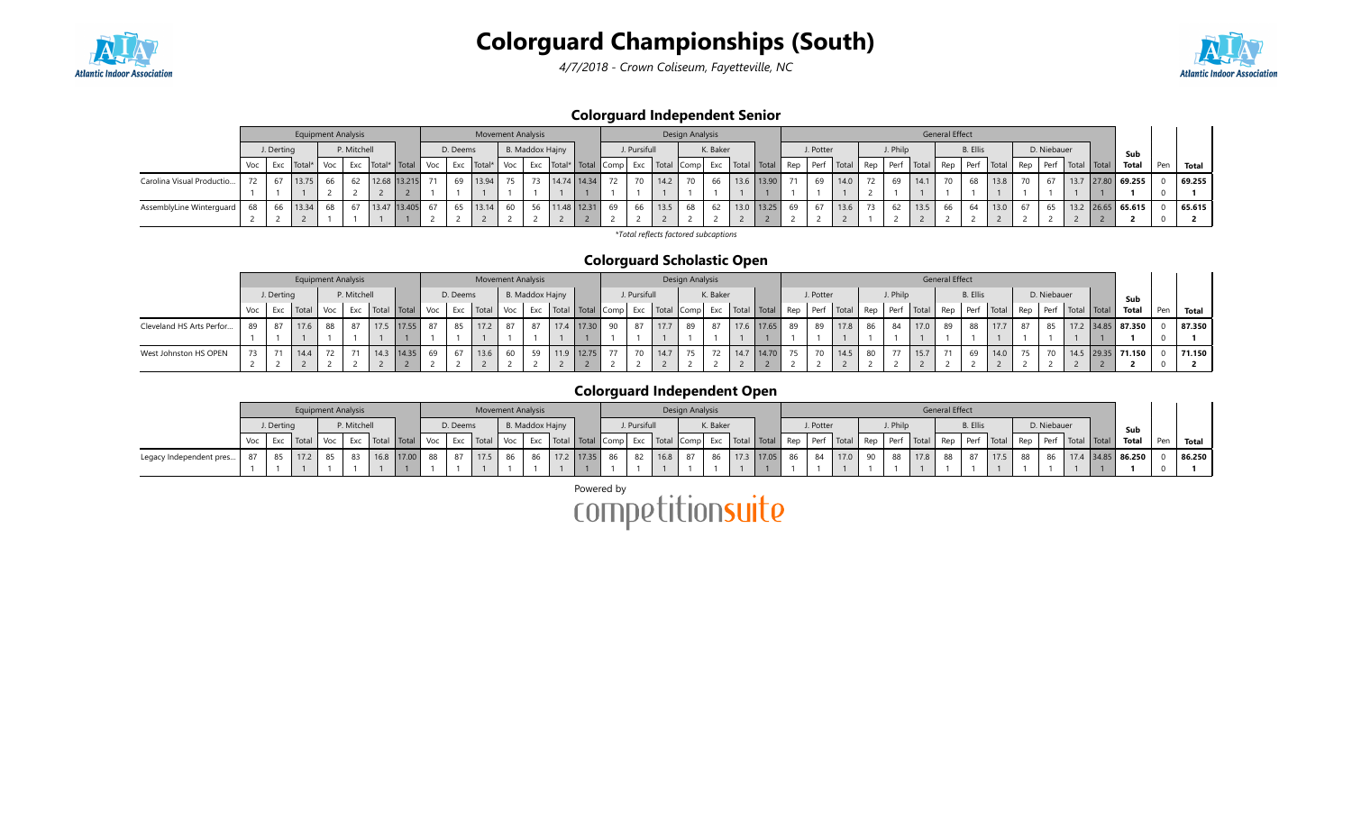

4/7/2018 - Crown Coliseum, Fayetteville, NC



### Colorguard Independent Senior

|                           |     |            | <b>Equipment Analysis</b> |     |             |                      |          | <b>Movement Analysis</b> |     |    |                                                                                                   |    |              |      | Design Analysis |          |            |    |           |      |                 |          |       | General Effect |                 |                    |    |             |                   |                     |     |        |
|---------------------------|-----|------------|---------------------------|-----|-------------|----------------------|----------|--------------------------|-----|----|---------------------------------------------------------------------------------------------------|----|--------------|------|-----------------|----------|------------|----|-----------|------|-----------------|----------|-------|----------------|-----------------|--------------------|----|-------------|-------------------|---------------------|-----|--------|
|                           |     | J. Derting |                           |     | P. Mitchell |                      | D. Deems |                          |     |    | B. Maddox Hajny                                                                                   |    | J. Pursifull |      |                 | K. Baker |            |    | J. Potter |      |                 | J. Philp |       |                | <b>B.</b> Ellis |                    |    | D. Niebauer |                   | Sub                 |     |        |
|                           | Voc | Exc        | Total*                    | Voc | Exc         | Total*   Total   Voc |          | Exc Total*               | Voc |    | Exc   Total*   Total   Comp   Exc   Total   Comp   Exc   Total   Total   Rep   Perf   Total   Rep |    |              |      |                 |          |            |    |           |      |                 | Perf     | Total | Rep            |                 | Perf   Total   Rep |    | Perf        | F   Total   Total | Total               | Pen | Total  |
| Carolina Visual Productio |     |            | 13.75                     | 66  | 62          | 12.68 13.215         | 69       | 13.94                    |     | 73 | 14.74 14.34                                                                                       | 72 | 70           | 14.2 |                 | 66       | 13.6 13.90 | 71 | 69        | 14.0 | 72 <sub>1</sub> | 69       | 14.1  | 70             | 68              | 13.8               | 70 |             |                   | 13.7 27.80 69.255   |     | 69.255 |
|                           |     |            |                           |     |             |                      |          |                          |     |    |                                                                                                   |    |              |      |                 |          |            |    |           |      |                 |          |       |                |                 |                    |    |             |                   |                     |     |        |
| AssemblyLine Winterguard  | 68  |            | 13.34                     | 68  | 67          | 13.47 13.405         |          | 65 13.14                 |     | 56 | 11.48 12.31                                                                                       | 69 | 66           | 13.5 | 68              |          | 13.0 13.25 | 69 | 67        | 13.6 |                 | 62       | 13.5  | 66             | 64              | 13.0               |    | 65          |                   | $13.2$ 26.65 65.615 |     | 65.615 |
|                           |     |            |                           |     |             |                      |          |                          |     |    |                                                                                                   |    |              |      |                 |          |            |    |           |      |                 |          |       |                |                 |                    |    |             |                   |                     |     |        |

\*Total reflects factored subcaptions

### Colorguard Scholastic Open

|                          |     |            | <b>Equipment Analysis</b> |     |             |                           |    |          | <b>Movement Analysis</b> |     |                 |      |       |                            |              |      | Design Analysis |          |      |                                                |    |           |                           |    |          |      | <b>General Effect</b> |                 |                  |             |                      |                     |     |        |
|--------------------------|-----|------------|---------------------------|-----|-------------|---------------------------|----|----------|--------------------------|-----|-----------------|------|-------|----------------------------|--------------|------|-----------------|----------|------|------------------------------------------------|----|-----------|---------------------------|----|----------|------|-----------------------|-----------------|------------------|-------------|----------------------|---------------------|-----|--------|
|                          |     | J. Derting |                           |     | P. Mitchell |                           |    | D. Deems |                          |     | B. Maddox Hajny |      |       |                            | J. Pursifull |      |                 | K. Baker |      |                                                |    | J. Potter |                           |    | J. Philp |      |                       | <b>B.</b> Ellis |                  | D. Niebauer |                      | Sub                 |     |        |
|                          | Voc | Exc        | l Total                   | Voc |             | Exc   Total   Total   Voc |    | Exc      | Total                    | Voc |                 |      |       | Exc   Total   Total   Comp |              |      |                 |          |      | Exc   Total   Comp   Exc   Total   Total   Rep |    |           | Perf Total Rep Perf Total |    |          |      | Rep                   |                 | $Perf$ Total Rep |             | Perf   Total   Total | Total               | Pen | Total  |
| Cleveland HS Arts Perfor | 89  |            |                           | 88  |             | 17.55                     | 87 | 85       | 17.2                     |     |                 |      | 17.30 | 90                         | 87           | 17.7 | 89              | 87       | 17.6 | $\vert$ 17.65                                  | 89 | 89        | 17.8                      | 86 | 84       | 17.0 | 89                    | 88              |                  | 85          |                      | $17.2$ 34.85 87.350 |     | 87.350 |
|                          |     |            |                           |     |             |                           |    |          |                          |     |                 |      |       |                            |              |      |                 |          |      |                                                |    |           |                           |    |          |      |                       |                 |                  |             |                      |                     |     |        |
| West Johnston HS OPEN    | 73  |            | 14.4                      | 72  |             | 14.35                     | 69 | 67       | 13.6                     | 60  | 59              | 11.9 | 12.75 | 77                         |              | 14.7 | 75              |          |      | 14.70                                          |    |           | 14.5                      |    |          | 15.7 |                       | 69              | 14.0             | 70          |                      | $14.5$ 29.35 71.150 |     | 71.150 |
|                          |     |            |                           |     |             |                           |    |          |                          |     |                 |      |       |                            |              |      |                 |          |      |                                                |    |           |                           |    |          |      |                       |                 |                  |             |                      |                     |     |        |

### Colorguard Independent Open

|                         |                                                          |           |     |       | <b>Equipment Analysis</b> |  |                           |  |    | <b>Movement Analysis</b> |    |  |  |               |              |           | Design Analysis |          |  |           |                                                                                                                                                                                                                               |    |          |      | <b>General Effect</b> |                 |      |    |             |                                                 |                     |     |           |
|-------------------------|----------------------------------------------------------|-----------|-----|-------|---------------------------|--|---------------------------|--|----|--------------------------|----|--|--|---------------|--------------|-----------|-----------------|----------|--|-----------|-------------------------------------------------------------------------------------------------------------------------------------------------------------------------------------------------------------------------------|----|----------|------|-----------------------|-----------------|------|----|-------------|-------------------------------------------------|---------------------|-----|-----------|
|                         | P. Mitchell<br>B. Maddox Hajny<br>J. Derting<br>D. Deems |           |     |       |                           |  |                           |  |    |                          |    |  |  |               | J. Pursifull |           |                 | K. Baker |  | J. Potter |                                                                                                                                                                                                                               |    | J. Philr |      |                       | <b>B.</b> Ellis |      |    | D. Niebauer |                                                 | Sub                 |     |           |
|                         |                                                          | Exc Total |     | Voc l |                           |  | Exc   Total   Total   Voc |  |    | Exc   Total   Voc        |    |  |  |               |              |           |                 |          |  |           | Find and the perfect of the perfect of the local of the local of the local of the local of the local local in the local local local local local local local local local local local local local local local local local local |    |          |      |                       |                 |      |    |             | Rep   Perf   Total   Rep   Perf   Total   Total | Total               | Pen | Total     |
| Legacy Independent pres | 87                                                       | 85        | 172 |       |                           |  | $16.8$   17.00   88       |  | 87 | 17.5                     | 86 |  |  | 86 17.2 17.35 | 86 82        | $16.8$ 87 |                 |          |  |           | 86   17.3   17.05   86   84   17.0                                                                                                                                                                                            | 90 | 88       | 17.8 | 88                    | 87              | 17.5 | 88 | 86          |                                                 | $17.4$ 34.85 86.250 |     | 186.250 L |
|                         |                                                          |           |     |       |                           |  |                           |  |    |                          |    |  |  |               |              |           |                 |          |  |           |                                                                                                                                                                                                                               |    |          |      |                       |                 |      |    |             |                                                 |                     |     |           |

Powered by<br>COMPetitionsuite